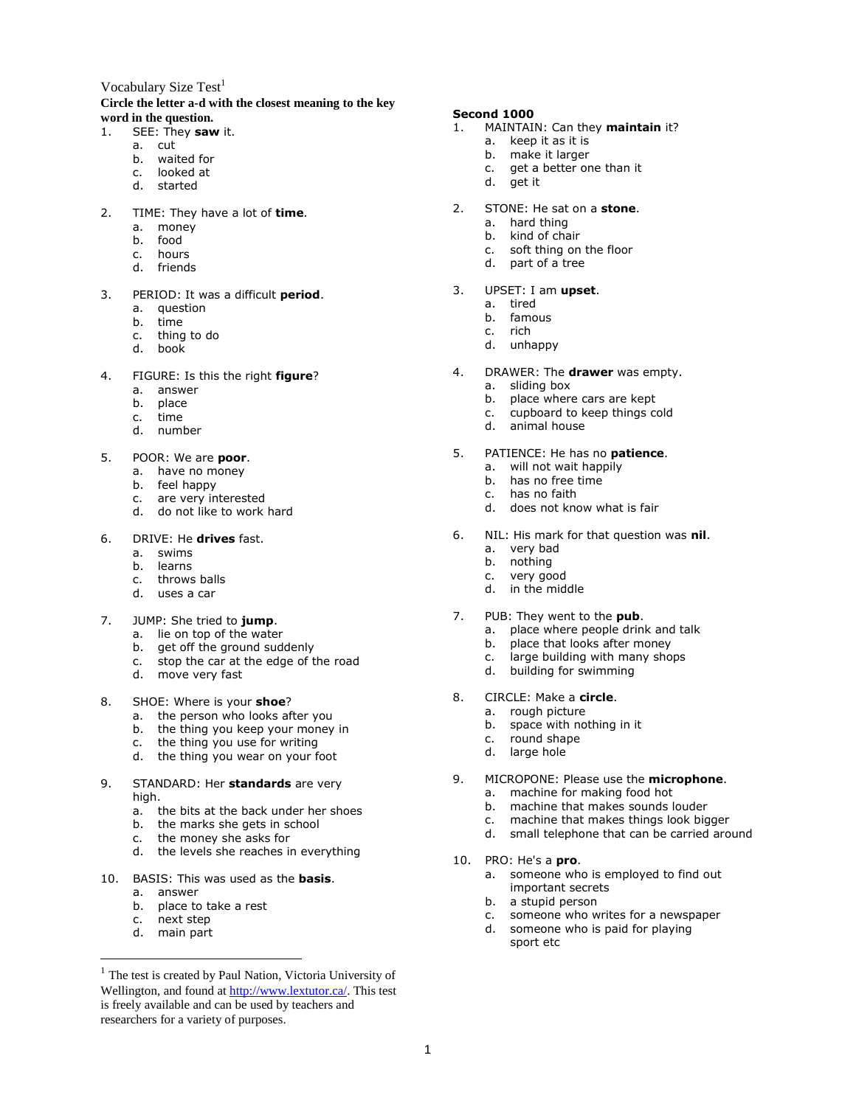# Vocabulary Size  $Test<sup>1</sup>$

## **Circle the letter a-d with the closest meaning to the key word in the question.**

- 1. SEE: They **saw** it.
	- a. cut
		- b. waited for
		- c. looked at
		- d. started
- 2. TIME: They have a lot of **time**.
	- a. money
	- b. food
	- c. hours
	- d. friends
- 3. PERIOD: It was a difficult **period**.
	- a. question
	- b. time
	- c. thing to do
	- d. book
- 4. FIGURE: Is this the right **figure**?
	- a. answer
	- b. place
	- c. time
	- d. number
- 5. POOR: We are **poor**.
	- a. have no money
	- b. feel happy
	- c. are very interested
	- d. do not like to work hard
- 6. DRIVE: He **drives** fast.
	- a. swims
	- b. learns
	- c. throws balls
	- d. uses a car
- 7. JUMP: She tried to **jump**.
	- a. lie on top of the water
	- b. get off the ground suddenly
	- c. stop the car at the edge of the road
	- d. move very fast
- 8. SHOE: Where is your **shoe**?
	- a. the person who looks after you
	- b. the thing you keep your money in
	- c. the thing you use for writing
	- d. the thing you wear on your foot
- 9. STANDARD: Her **standards** are very high.
	- a. the bits at the back under her shoes
	- b. the marks she gets in school
	- c. the money she asks for
	- d. the levels she reaches in everything
- 10. BASIS: This was used as the **basis**.
	- a. answer
	- b. place to take a rest
	- c. next step
	- d. main part

 $\overline{a}$ 

#### **Second 1000**

- 1. MAINTAIN: Can they **maintain** it?
	- a. keep it as it is
	- b. make it larger
	- c. get a better one than it
	- d. get it
- 2. STONE: He sat on a **stone**.
	- a. hard thing
	- b. kind of chair
	- c. soft thing on the floor
	- d. part of a tree
- 3. UPSET: I am **upset**.
	- a. tired
	- b. famous
	- c. rich
	- d. unhappy
- 4. DRAWER: The **drawer** was empty.
	- a. sliding box
	- b. place where cars are kept
	- c. cupboard to keep things cold
	- d. animal house
- 5. PATIENCE: He has no **patience**.
	- a. will not wait happily
	- b. has no free time
	- c. has no faith
	- d. does not know what is fair
- 6. NIL: His mark for that question was **nil**.
	- a. very bad
	- b. nothing
	- c. very good
	- d. in the middle
- 7. PUB: They went to the **pub**.
	- a. place where people drink and talk
	- b. place that looks after money
	- c. large building with many shops
	- d. building for swimming
- 8. CIRCLE: Make a **circle**.
	- a. rough picture
	- b. space with nothing in it

important secrets b. a stupid person

- c. round shape
- d. large hole
- 9. MICROPONE: Please use the **microphone**.
	- a. machine for making food hot
	- b. machine that makes sounds louder
	- c. machine that makes things look bigger

c. someone who writes for a newspaper d. someone who is paid for playing

- d. small telephone that can be carried around
- 10. PRO: He's a **pro**. a. someone who is employed to find out

sport etc

1

<sup>&</sup>lt;sup>1</sup> The test is created by Paul Nation, Victoria University of Wellington, and found a[t http://www.lextutor.ca/.](http://www.lextutor.ca/) This test is freely available and can be used by teachers and researchers for a variety of purposes.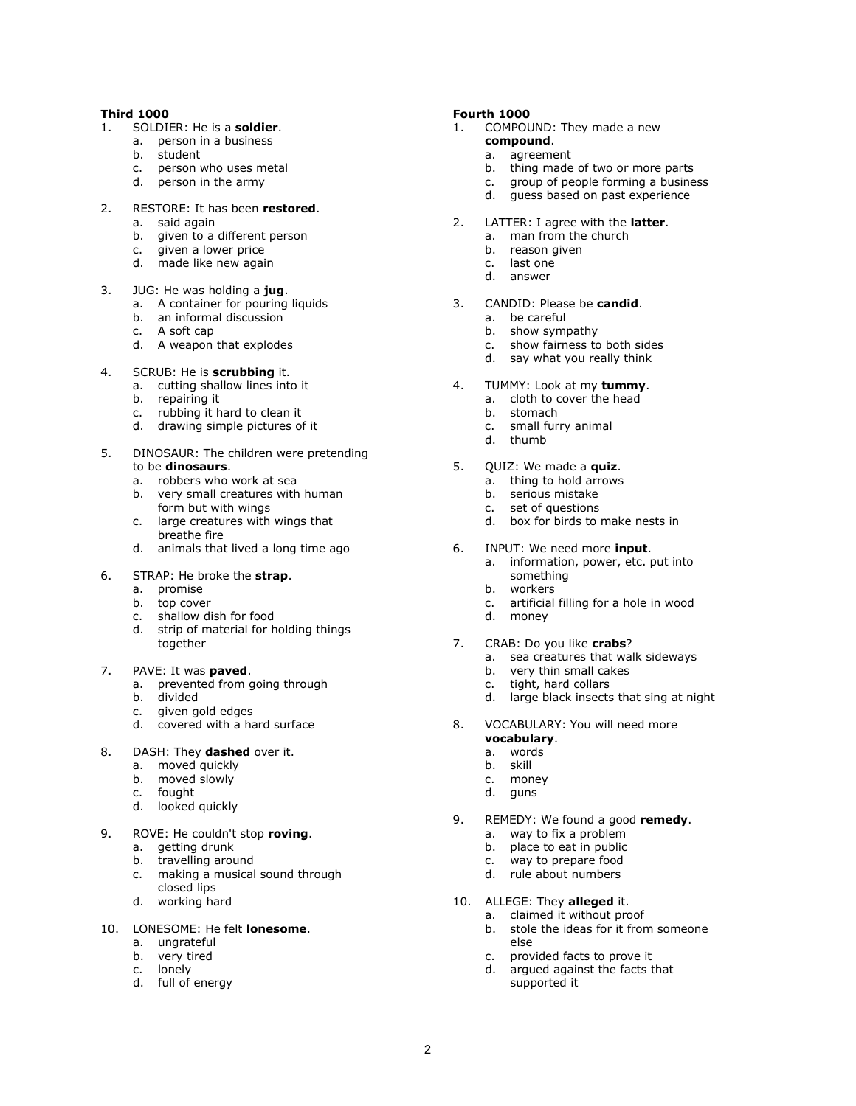#### **Third 1000**

- 1. SOLDIER: He is a **soldier**.
	- a. person in a business
	- b. student
	- c. person who uses metal
	- d. person in the army
- 2. RESTORE: It has been **restored**.
	- a. said again
	- b. given to a different person
	- c. given a lower price
	- d. made like new again

#### 3. JUG: He was holding a **jug**.

- a. A container for pouring liquids
- b. an informal discussion
- c. A soft cap
- d. A weapon that explodes
- 4. SCRUB: He is **scrubbing** it.
	- a. cutting shallow lines into it
	- b. repairing it
	- c. rubbing it hard to clean it
	- d. drawing simple pictures of it
- 5. DINOSAUR: The children were pretending to be **dinosaurs**.
	- a. robbers who work at sea
	- b. very small creatures with human form but with wings
	- c. large creatures with wings that breathe fire
	- d. animals that lived a long time ago

#### 6. STRAP: He broke the **strap**.

- a. promise
- b. top cover
- c. shallow dish for food
- d. strip of material for holding things together

#### 7. PAVE: It was **paved**.

- a. prevented from going through
- b. divided
- c. given gold edges
- d. covered with a hard surface
- 8. DASH: They **dashed** over it.
	- a. moved quickly
	- b. moved slowly
	- c. fought
	- d. looked quickly
- 9. ROVE: He couldn't stop **roving**.
	- a. getting drunk
	- b. travelling around
	- c. making a musical sound through
	- closed lips d. working hard

# 10. LONESOME: He felt **lonesome**.

- a. ungrateful
- b. very tired
- c. lonely
- d. full of energy

#### **Fourth 1000**

- 1. COMPOUND: They made a new
	- **compound**.
		- a. agreement
		- b. thing made of two or more parts c. group of people forming a business
		- d. guess based on past experience
- 2. LATTER: I agree with the **latter**.
	- a. man from the church
	- b. reason given
	- c. last one
	-
	- d. answer
- 3. CANDID: Please be **candid**.
	- a. be careful
	- b. show sympathy
	- c. show fairness to both sides
	- d. say what you really think
- 4. TUMMY: Look at my **tummy**.
	- a. cloth to cover the head
	- b. stomach
	- c. small furry animal
	- d. thumb
- 5. QUIZ: We made a **quiz**.
	- a. thing to hold arrows
	- b. serious mistake
	- c. set of questions
	- d. box for birds to make nests in
- 6. INPUT: We need more **input**.
	- a. information, power, etc. put into something
	- b. workers
	- c. artificial filling for a hole in wood
	- d. money
- 7. CRAB: Do you like **crabs**?
	- a. sea creatures that walk sideways
	- b. very thin small cakes
	- c. tight, hard collars
	- d. large black insects that sing at night
- 8. VOCABULARY: You will need more **vocabulary**.
	- a. words
	- b. skill
	- c. money
	- d. guns

2

- 9. REMEDY: We found a good **remedy**.
	- a. way to fix a problem
	- b. place to eat in public
	- c. way to prepare food
	- d. rule about numbers
- 10. ALLEGE: They **alleged** it.

supported it

else

a. claimed it without proof b. stole the ideas for it from someone

c. provided facts to prove it d. argued against the facts that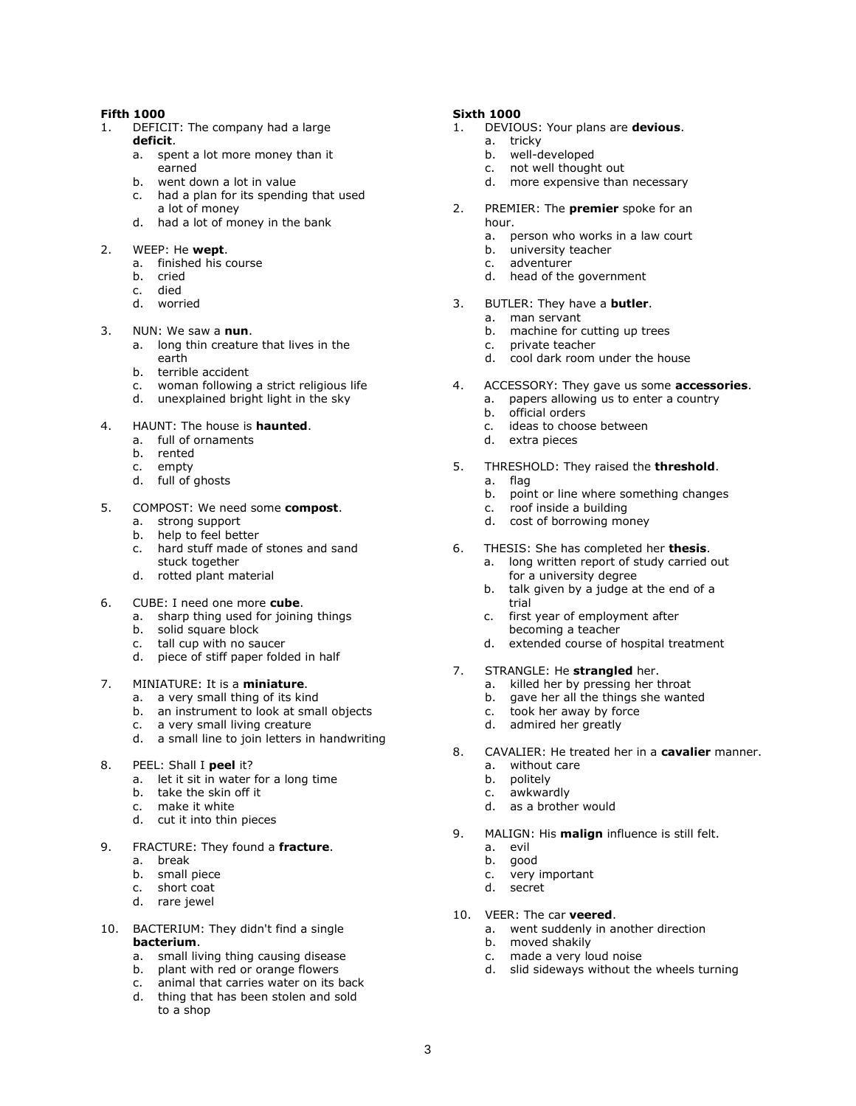#### **Fifth 1000**

- 1. DEFICIT: The company had a large **deficit**.
	- a. spent a lot more money than it earned
	- b. went down a lot in value
	- c. had a plan for its spending that used a lot of money
	- d. had a lot of money in the bank
- 2. WEEP: He **wept**.
	- a. finished his course
	- b. cried
	- c. died
	- d. worried

# 3. NUN: We saw a **nun**.

- a. long thin creature that lives in the earth
- b. terrible accident
- c. woman following a strict religious life
- d. unexplained bright light in the sky
- 4. HAUNT: The house is **haunted**.
	- a. full of ornaments
	- b. rented
	- c. empty
	- d. full of ghosts

#### 5. COMPOST: We need some **compost**.

- a. strong support
- b. help to feel better
- c. hard stuff made of stones and sand stuck together
- d. rotted plant material
- 6. CUBE: I need one more **cube**.
	- a. sharp thing used for joining things
	- b. solid square block
	- c. tall cup with no saucer
		- d. piece of stiff paper folded in half
- 7. MINIATURE: It is a **miniature**.
	- a. a very small thing of its kind
	- b. an instrument to look at small objects
	- c. a very small living creature
	- d. a small line to join letters in handwriting
- 8. PEEL: Shall I **peel** it?
	- a. let it sit in water for a long time
	- b. take the skin off it
	- c. make it white
	- d. cut it into thin pieces
- 9. FRACTURE: They found a **fracture**.
	- a. break
	- b. small piece
	- c. short coat
	- d. rare jewel
- 10. BACTERIUM: They didn't find a single **bacterium**.
	- a. small living thing causing disease
	- b. plant with red or orange flowers
	- c. animal that carries water on its back
	- d. thing that has been stolen and sold to a shop

#### **Sixth 1000**

- 1. DEVIOUS: Your plans are **devious**.
	- a. tricky
	- b. well-developed
	- c. not well thought out
	- d. more expensive than necessary
- 2. PREMIER: The **premier** spoke for an hour.
	- a. person who works in a law court
	- b. university teacher
	- c. adventurer
	- d. head of the government
- 3. BUTLER: They have a **butler**.
	- a. man servant
	- b. machine for cutting up trees
	- c. private teacher
	- d. cool dark room under the house
- 4. ACCESSORY: They gave us some **accessories**.
	- a. papers allowing us to enter a country
	- b. official orders
	- c. ideas to choose between
	- d. extra pieces
- 5. THRESHOLD: They raised the **threshold**.
	- a. flag
	- b. point or line where something changes
	- c. roof inside a building
	- d. cost of borrowing money
- 6. THESIS: She has completed her **thesis**.
	- a. long written report of study carried out for a university degree
	- b. talk given by a judge at the end of a trial
	- c. first year of employment after becoming a teacher
	- d. extended course of hospital treatment
- 7. STRANGLE: He **strangled** her.
	- a. killed her by pressing her throat
	- b. gave her all the things she wanted
	- c. took her away by force
	- d. admired her greatly
- 8. CAVALIER: He treated her in a **cavalier** manner.
	- a. without care
	- b. politely
	- c. awkwardly
	- d. as a brother would
- 9. MALIGN: His **malign** influence is still felt.
	- a. evil
	- b. good

3

- c. very important
- d. secret
- 10. VEER: The car **veered**.
	- a. went suddenly in another direction

d. slid sideways without the wheels turning

b. moved shakily

c. made a very loud noise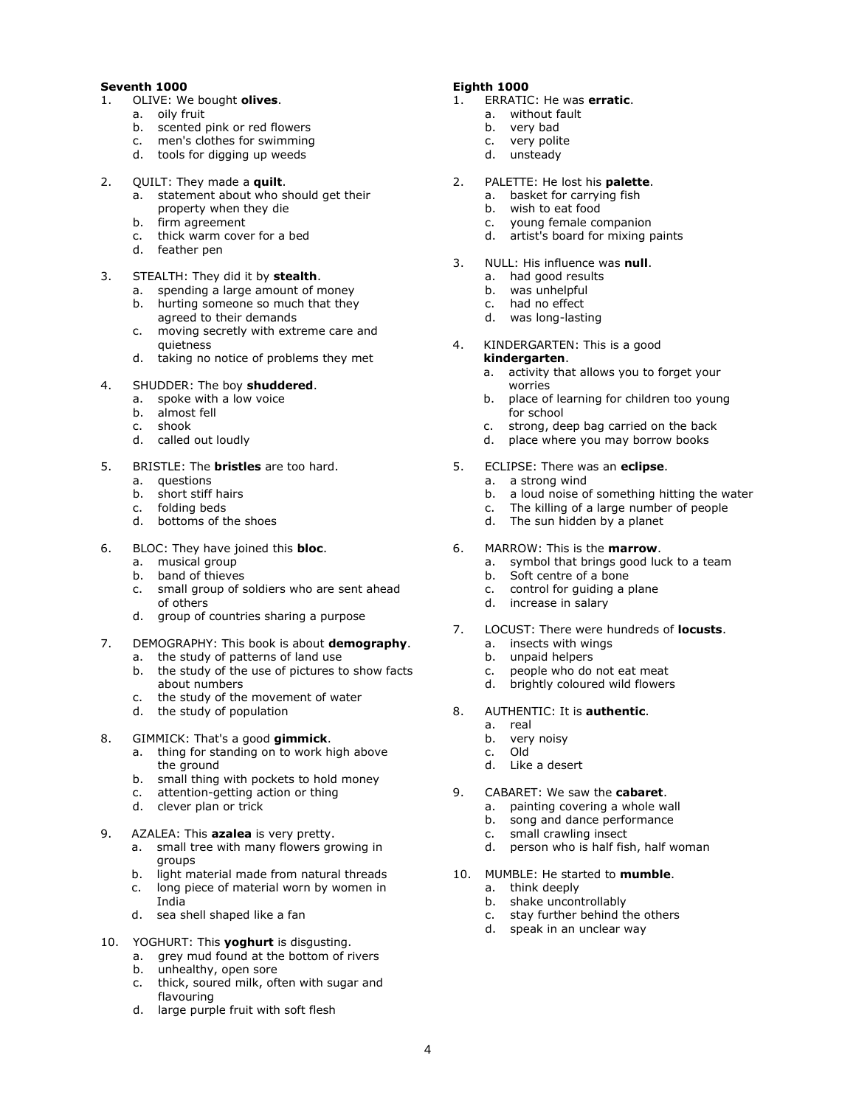# **Seventh 1000**

- 1. OLIVE: We bought **olives**.
	- a. oily fruit
	- b. scented pink or red flowers
	- c. men's clothes for swimming
	- d. tools for digging up weeds
- 2. QUILT: They made a **quilt**.
	- a. statement about who should get their property when they die
	- b. firm agreement
	- c. thick warm cover for a bed
	- d. feather pen
- 3. STEALTH: They did it by **stealth**.
	- a. spending a large amount of money b. hurting someone so much that they
	- agreed to their demands c. moving secretly with extreme care and quietness
	- d. taking no notice of problems they met
- 4. SHUDDER: The boy **shuddered**.
	- a. spoke with a low voice
	- b. almost fell
	- c. shook
	- d. called out loudly
- 5. BRISTLE: The **bristles** are too hard.
	- a. questions
	- b. short stiff hairs
	- c. folding beds
	- d. bottoms of the shoes
- 6. BLOC: They have joined this **bloc**.
	- a. musical group<br>b. band of thiever
	- band of thieves
	- c. small group of soldiers who are sent ahead of others
	- d. group of countries sharing a purpose
- 7. DEMOGRAPHY: This book is about **demography**.
	- a. the study of patterns of land use b. the study of the use of pictures to show facts about numbers
	- c. the study of the movement of water
	- d. the study of population
- 8. GIMMICK: That's a good **gimmick**.
	- a. thing for standing on to work high above the ground
	- b. small thing with pockets to hold money
	- c. attention-getting action or thing
	- d. clever plan or trick
- 9. AZALEA: This **azalea** is very pretty.
	- a. small tree with many flowers growing in groups
	- b. light material made from natural threads
	- c. long piece of material worn by women in India
	- d. sea shell shaped like a fan
- 10. YOGHURT: This **yoghurt** is disgusting.
	- a. grey mud found at the bottom of rivers b. unhealthy, open sore
	- c. thick, soured milk, often with sugar and flavouring
	- d. large purple fruit with soft flesh

#### **Eighth 1000**

- 1. ERRATIC: He was **erratic**.
	- a. without fault
	- b. very bad
	- c. very polite
	- d. unsteady
- 2. PALETTE: He lost his **palette**.
	- a. basket for carrying fish
	- b. wish to eat food
	- c. young female companion
	- d. artist's board for mixing paints
- 3. NULL: His influence was **null**.
	- a. had good results
	- b. was unhelpful
	- c. had no effect
	- d. was long-lasting
- 4. KINDERGARTEN: This is a good **kindergarten**.
	- a. activity that allows you to forget your
	- worries b. place of learning for children too young for school
	- c. strong, deep bag carried on the back
	- d. place where you may borrow books
- 5. ECLIPSE: There was an **eclipse**.
	- a. a strong wind
	- b. a loud noise of something hitting the water
	- c. The killing of a large number of people
	- d. The sun hidden by a planet
- 6. MARROW: This is the **marrow**.
	- a. symbol that brings good luck to a team
	- b. Soft centre of a bone
	- c. control for guiding a plane
	- d. increase in salary
- 7. LOCUST: There were hundreds of **locusts**.
	- a. insects with wings
	- b. unpaid helpers
	- c. people who do not eat meat
	- d. brightly coloured wild flowers
- 8. AUTHENTIC: It is **authentic**.
	- a. real
		- b. very noisy
		- c. Old
	- d. Like a desert
- 9. CABARET: We saw the **cabaret**.
	- a. painting covering a whole wall
	- b. song and dance performance
	- c. small crawling insect
	- d. person who is half fish, half woman
- 10. MUMBLE: He started to **mumble**.
	- a. think deeply
	- b. shake uncontrollably
	- c. stay further behind the others
	- d. speak in an unclear way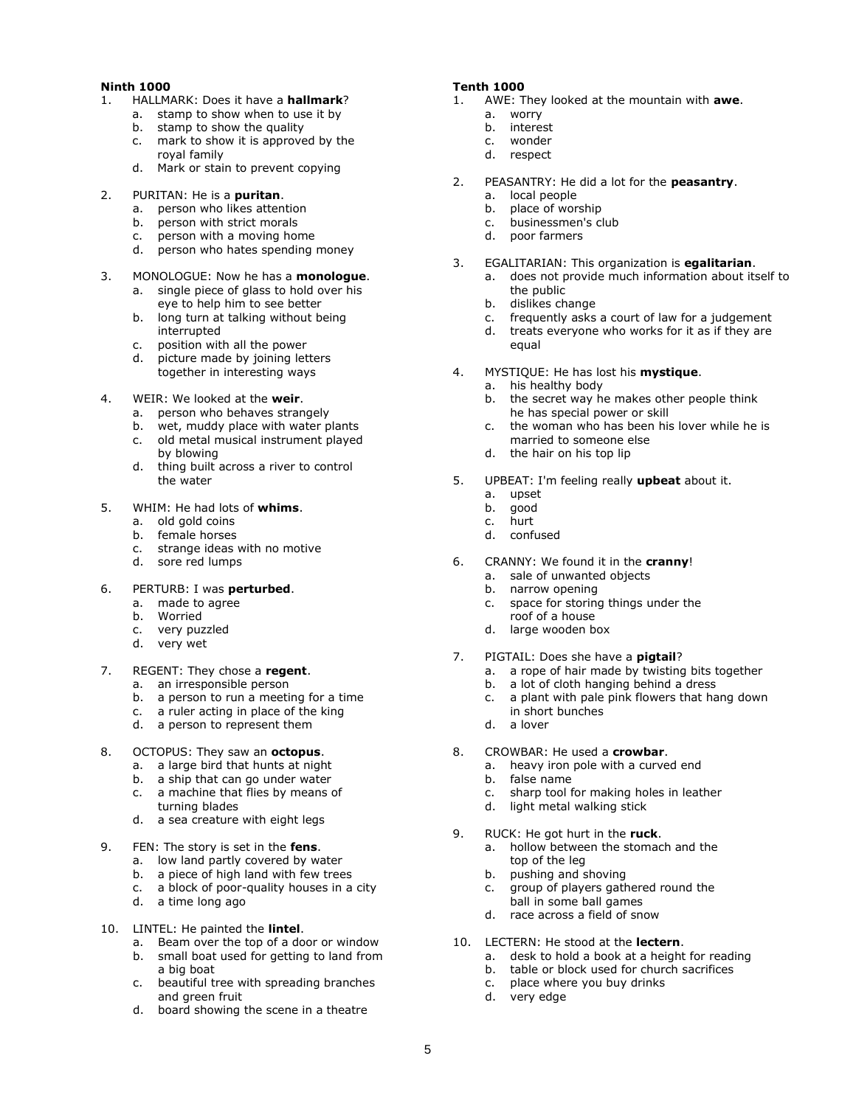#### **Ninth 1000**

- 1. HALLMARK: Does it have a **hallmark**?
	- a. stamp to show when to use it by
	- b. stamp to show the quality
	- c. mark to show it is approved by the royal family
	- d. Mark or stain to prevent copying
- 2. PURITAN: He is a **puritan**.
	-
	- a. person who likes attention<br>b. person with strict morals b. person with strict morals
	- c. person with a moving home
	- d. person who hates spending money
- 3. MONOLOGUE: Now he has a **monologue**.
	- a. single piece of glass to hold over his eye to help him to see better b. long turn at talking without being
	- interrupted
	- c. position with all the power
	- d. picture made by joining letters together in interesting ways
- 4. WEIR: We looked at the **weir**.
	- a. person who behaves strangely
	- b. wet, muddy place with water plants
	- c. old metal musical instrument played by blowing
	- d. thing built across a river to control the water
- 5. WHIM: He had lots of **whims**.
	- a. old gold coins
	- b. female horses
	- c. strange ideas with no motive
	- d. sore red lumps
- 6. PERTURB: I was **perturbed**.
	- a. made to agree
	- b. Worried
	- c. very puzzled
	- d. very wet
- 7. REGENT: They chose a **regent**.
	- a. an irresponsible person
	- b. a person to run a meeting for a time
	- c. a ruler acting in place of the king
	- d. a person to represent them
- 8. OCTOPUS: They saw an **octopus**.
	- a. a large bird that hunts at night
	- b. a ship that can go under water
	- c. a machine that flies by means of turning blades
	- d. a sea creature with eight legs
- 9. FEN: The story is set in the **fens**.
	- a. low land partly covered by water
	- b. a piece of high land with few trees
	- c. a block of poor-quality houses in a city
	- d. a time long ago
- 10. LINTEL: He painted the **lintel**.
	- a. Beam over the top of a door or window b. small boat used for getting to land from a big boat
	- c. beautiful tree with spreading branches and green fruit
	- d. board showing the scene in a theatre

# **Tenth 1000**

- 1. AWE: They looked at the mountain with **awe**.
	- a. worry
	- b. interest
	- c. wonder
	- d. respect
- 2. PEASANTRY: He did a lot for the **peasantry**.
	- a. local people
	- b. place of worship
	- c. businessmen's club
	- d. poor farmers
- 3. EGALITARIAN: This organization is **egalitarian**.
	- a. does not provide much information about itself to the public
	- b. dislikes change
	- c. frequently asks a court of law for a judgement
	- d. treats everyone who works for it as if they are equal
- 4. MYSTIQUE: He has lost his **mystique**.
	- a. his healthy body
		- b. the secret way he makes other people think he has special power or skill
		- c. the woman who has been his lover while he is married to someone else
		- d. the hair on his top lip
- 5. UPBEAT: I'm feeling really **upbeat** about it.
	- a. upset
	- b. good
	- c. hurt
	- d. confused
- 6. CRANNY: We found it in the **cranny**!
	- a. sale of unwanted objects
	- b. narrow opening
	- c. space for storing things under the roof of a house
	- d. large wooden box
- 7. PIGTAIL: Does she have a **pigtail**?
	- a. a rope of hair made by twisting bits together
	- b. a lot of cloth hanging behind a dress
	- c. a plant with pale pink flowers that hang down in short bunches
	- d. a lover

5

- 8. CROWBAR: He used a **crowbar**.
	- a. heavy iron pole with a curved end
	- b. false name
	- c. sharp tool for making holes in leather
	- d. light metal walking stick
- 9. RUCK: He got hurt in the **ruck**.
	- a. hollow between the stomach and the top of the leg
	- b. pushing and shoving
	- c. group of players gathered round the ball in some ball games
	- d. race across a field of snow
- 10. LECTERN: He stood at the **lectern**.
	- a. desk to hold a book at a height for reading
	- b. table or block used for church sacrifices
	- c. place where you buy drinks d. very edge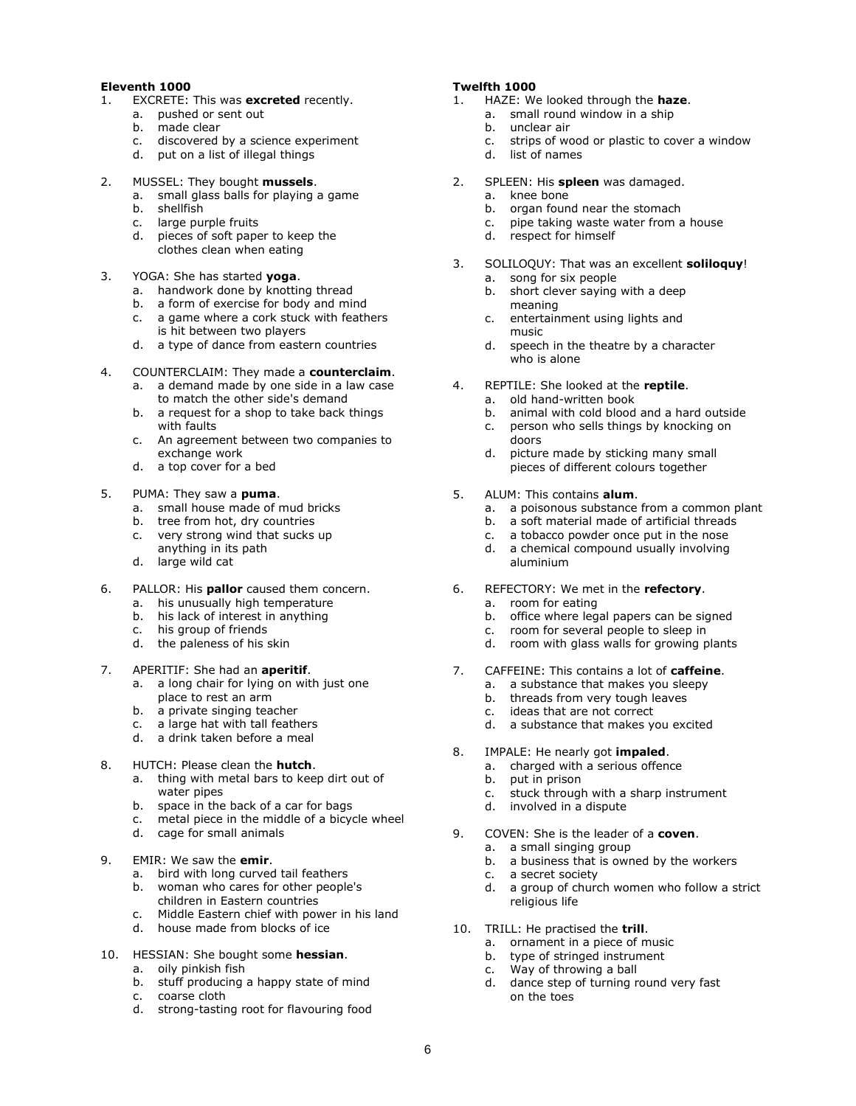# **Eleventh 1000**

- 1. EXCRETE: This was **excreted** recently.
	- a. pushed or sent out
		- b. made clear
		- c. discovered by a science experiment
	- d. put on a list of illegal things
- 2. MUSSEL: They bought **mussels**.
	- a. small glass balls for playing a game
		- b. shellfish
		- c. large purple fruits
		- d. pieces of soft paper to keep the clothes clean when eating
- 3. YOGA: She has started **yoga**.
	- a. handwork done by knotting thread
	- b. a form of exercise for body and mind
	- c. a game where a cork stuck with feathers is hit between two players
	- d. a type of dance from eastern countries
- 4. COUNTERCLAIM: They made a **counterclaim**.
	- a. a demand made by one side in a law case to match the other side's demand
	- b. a request for a shop to take back things with faults
	- c. An agreement between two companies to exchange work
	- d. a top cover for a bed
- 5. PUMA: They saw a **puma**.
	- a. small house made of mud bricks
	- b. tree from hot, dry countries
	- c. very strong wind that sucks up
	- anything in its path
	- d. large wild cat
- 6. PALLOR: His **pallor** caused them concern.
	- a. his unusually high temperature
	- b. his lack of interest in anything
	- c. his group of friends
	- d. the paleness of his skin
- 7. APERITIF: She had an **aperitif**.
	- a. a long chair for lying on with just one place to rest an arm
	- b. a private singing teacher
	- c. a large hat with tall feathers
	- d. a drink taken before a meal
- 8. HUTCH: Please clean the **hutch**.
	- a. thing with metal bars to keep dirt out of water pipes
	- b. space in the back of a car for bags
	- c. metal piece in the middle of a bicycle wheel
	- d. cage for small animals
- 9. EMIR: We saw the **emir**.
	- a. bird with long curved tail feathers
	- b. woman who cares for other people's children in Eastern countries
	- Middle Eastern chief with power in his land c. Middle Eastern chief with power<br>d. house made from blocks of ice
	-
- 10. HESSIAN: She bought some **hessian**.
	- a. oily pinkish fish
	- b. stuff producing a happy state of mind
	- c. coarse cloth
	- d. strong-tasting root for flavouring food

### **Twelfth 1000**

- 1. HAZE: We looked through the **haze**.
	- a. small round window in a ship
	- b. unclear air
	- c. strips of wood or plastic to cover a window
	- d. list of names
- 2. SPLEEN: His **spleen** was damaged.
	- a. knee bone
	- b. organ found near the stomach
	- c. pipe taking waste water from a house
	- d. respect for himself
- 3. SOLILOQUY: That was an excellent **soliloquy**!
	- a. song for six people
	- b. short clever saying with a deep meaning
	- c. entertainment using lights and music
	- d. speech in the theatre by a character who is alone
- 4. REPTILE: She looked at the **reptile**.
	- a. old hand-written book
	- b. animal with cold blood and a hard outside
	- c. person who sells things by knocking on doors
	- d. picture made by sticking many small pieces of different colours together
- 5. ALUM: This contains **alum**.
	- a. a poisonous substance from a common plant
	- b. a soft material made of artificial threads
	- c. a tobacco powder once put in the nose
	- d. a chemical compound usually involving aluminium
- 6. REFECTORY: We met in the **refectory**.
	- a. room for eating
	- b. office where legal papers can be signed
	- c. room for several people to sleep in
	- d. room with glass walls for growing plants
- 7. CAFFEINE: This contains a lot of **caffeine**.
	- a. a substance that makes you sleepy
	- b. threads from very tough leaves
	- c. ideas that are not correct
	- d. a substance that makes you excited
- 8. IMPALE: He nearly got **impaled**.
	- a. charged with a serious offence
	- b. put in prison
	- c. stuck through with a sharp instrument
	- d. involved in a dispute
- 9. COVEN: She is the leader of a **coven**.
	- a. a small singing group
	- b. a business that is owned by the workers

d. dance step of turning round very fast

c. a secret society

6

- d. a group of church women who follow a strict religious life
- 10. TRILL: He practised the **trill**.

c. Way of throwing a ball

on the toes

a. ornament in a piece of music b. type of stringed instrument